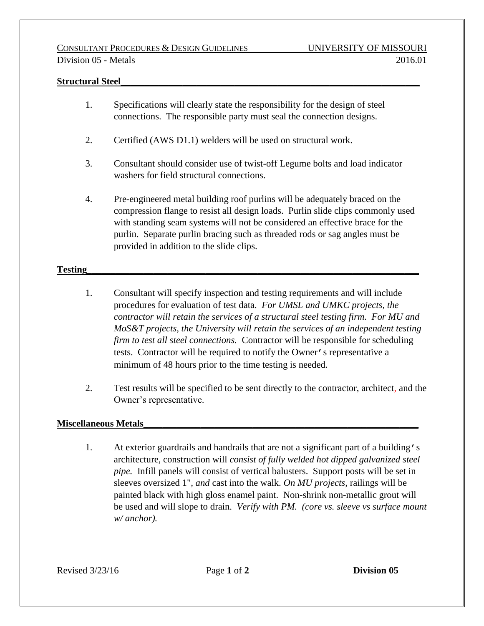## **Structural Steel\_\_\_\_\_\_\_\_\_\_\_\_\_\_\_\_\_\_\_\_\_\_\_\_\_\_\_\_\_\_\_\_\_\_\_\_\_\_\_\_\_\_\_\_\_\_\_\_\_\_\_\_\_\_\_\_\_\_\_\_\_\_\_**

- 1. Specifications will clearly state the responsibility for the design of steel connections. The responsible party must seal the connection designs.
- 2. Certified (AWS D1.1) welders will be used on structural work.
- 3. Consultant should consider use of twist-off Legume bolts and load indicator washers for field structural connections.
- 4. Pre-engineered metal building roof purlins will be adequately braced on the compression flange to resist all design loads. Purlin slide clips commonly used with standing seam systems will not be considered an effective brace for the purlin. Separate purlin bracing such as threaded rods or sag angles must be provided in addition to the slide clips.

## **Testing**

- 1. Consultant will specify inspection and testing requirements and will include procedures for evaluation of test data. *For UMSL and UMKC projects, the contractor will retain the services of a structural steel testing firm. For MU and MoS&T projects, the University will retain the services of an independent testing firm to test all steel connections.* Contractor will be responsible for scheduling tests. Contractor will be required to notify the Owner's representative a minimum of 48 hours prior to the time testing is needed.
- 2. Test results will be specified to be sent directly to the contractor, architect, and the Owner's representative.

## **Miscellaneous Metals\_\_\_\_\_\_\_\_\_\_\_\_\_\_\_\_\_\_\_\_\_\_\_\_\_\_\_\_\_\_\_\_\_\_\_\_\_\_\_\_\_\_\_\_\_\_\_\_\_\_\_\_\_\_\_\_\_\_**

1. At exterior guardrails and handrails that are not a significant part of a building's architecture, construction will *consist of fully welded hot dipped galvanized steel pipe.* Infill panels will consist of vertical balusters. Support posts will be set in sleeves oversized 1"*, and* cast into the walk. *On MU projects,* railings will be painted black with high gloss enamel paint.Non-shrink non-metallic grout will be used and will slope to drain. *Verify with PM. (core vs. sleeve vs surface mount w/ anchor).*